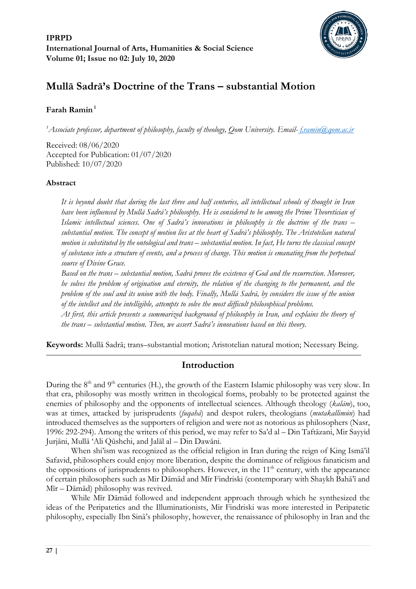

# **Mullā Sadrā's Doctrine of the Trans – substantial Motion**

# **Farah Ramin <sup>1</sup>**

*<sup>1</sup>Associate professor, department of philosophy, faculty of theology, Qom University. Email- [f.ramin@qom.ac.ir](mailto:f.ramin@qom.ac.ir)*

Received: 08/06/2020 Accepted for Publication: 01/07/2020 Published: 10/07/2020

# **Abstract**

*It is beyond doubt that during the last three and half centuries, all intellectual schools of thought in Iran have been influenced by Mullā Sadrā's philosophy. He is considered to be among the Prime Theoretician of Islamic intellectual sciences. One of Sadrā's innovations in philosophy is the doctrine of the trans – substantial motion. The concept of motion lies at the heart of Sadrā's philosophy. The Aristotelian natural motion is substituted by the ontological and trans – substantial motion. In fact, He turns the classical concept of substance into a structure of events, and a process of change. This motion is emanating from the perpetual source of Divine Grace.*

*Based on the trans – substantial motion, Sadrā proves the existence of God and the resurrection. Moreover, he solves the problem of origination and eternity, the relation of the changing to the permanent, and the problem of the soul and its union with the body. Finally, Mullā Sadrā, by considers the issue of the union of the intellect and the intelligible, attempts to solve the most difficult philosophical problems.*

*At first, this article presents a summarized background of philosophy in Iran, and explains the theory of the trans – substantial motion. Then, we assert Sadrā's innovations based on this theory.*

**Keywords:** Mullā Sadrā; trans–substantial motion; Aristotelian natural motion; Necessary Being.

# **Introduction**

During the 8<sup>th</sup> and 9<sup>th</sup> centuries (H.), the growth of the Eastern Islamic philosophy was very slow. In that era, philosophy was mostly written in theological forms, probably to be protected against the enemies of philosophy and the opponents of intellectual sciences. Although theology (*kalām*), too, was at times, attacked by jurisprudents (*fuqahā*) and despot rulers, theologians (*mutakallimūn*) had introduced themselves as the supporters of religion and were not as notorious as philosophers (Nasr, 1996: 292-294). Among the writers of this period, we may refer to Sa'd al – Din Taftāzani, Mir Sayyid Jurjāni, Mullā 'Ali Qūshchi, and Jalāl al – Din Dawāni.

When shi'ism was recognized as the official religion in Iran during the reign of King Ismā'il Safavid, philosophers could enjoy more liberation, despite the dominance of religious fanaticism and the oppositions of jurisprudents to philosophers. However, in the 11<sup>th</sup> century, with the appearance of certain philosophers such as Mir Dāmād and Mīr Findriski (contemporary with Shaykh Bahā'ī and Mīr – Dāmād) philosophy was revived.

While Mīr Dāmād followed and independent approach through which he synthesized the ideas of the Peripatetics and the Illuminationists, Mir Findriski was more interested in Peripatetic philosophy, especially Ibn Sinā's philosophy, however, the renaissance of philosophy in Iran and the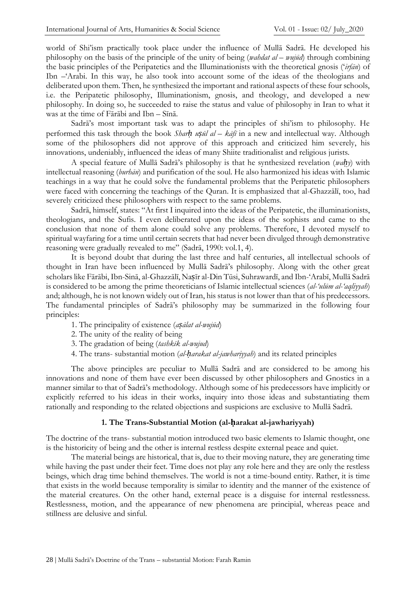world of Shi'ism practically took place under the influence of Mullā Sadrā. He developed his philosophy on the basis of the principle of the unity of being (*wahdat al – wujūd*) through combining the basic principles of the Peripatetics and the Illuminationists with the theoretical gnosis ('*irfān*) of Ibn –'Arabi. In this way, he also took into account some of the ideas of the theologians and deliberated upon them. Then, he synthesized the important and rational aspects of these four schools, i.e. the Peripatetic philosophy, Illuminationism, gnosis, and theology, and developed a new philosophy. In doing so, he succeeded to raise the status and value of philosophy in Iran to what it was at the time of Fārābi and Ibn – Sīnā.

Sadrā's most important task was to adapt the principles of shi'ism to philosophy. He performed this task through the book *Sharḥ uṣūl al – kāfī* in a new and intellectual way. Although some of the philosophers did not approve of this approach and criticized him severely, his innovations, undeniably, influenced the ideas of many Shiite traditionalist and religious jurists.

A special feature of Mullā Sadrā's philosophy is that he synthesized revelation (*waḥy*) with intellectual reasoning (*burhān*) and purification of the soul. He also harmonized his ideas with Islamic teachings in a way that he could solve the fundamental problems that the Peripatetic philosophers were faced with concerning the teachings of the Quran. It is emphasized that al-Ghazzālī, too, had severely criticized these philosophers with respect to the same problems.

Sadrā, himself, states: "At first I inquired into the ideas of the Peripatetic, the illuminationists, theologians, and the Sufis. I even deliberated upon the ideas of the sophists and came to the conclusion that none of them alone could solve any problems. Therefore, I devoted myself to spiritual wayfaring for a time until certain secrets that had never been divulged through demonstrative reasoning were gradually revealed to me" (Sadrā, 1990: vol.1, 4).

It is beyond doubt that during the last three and half centuries, all intellectual schools of thought in Iran have been influenced by Mullā Sadrā's philosophy. Along with the other great scholars like Fārābi, Ibn-Sinā, al-Ghazzālī, Nasīr al-Din Tūsi, Suhrawardī, and Ibn-'Arabī, Mullā Sadrā is considered to be among the prime theoreticians of Islamic intellectual sciences (*al-'ulūm al-'aqliyyah*) and; although, he is not known widely out of Iran, his status is not lower than that of his predecessors. The fundamental principles of Sadrā's philosophy may be summarized in the following four principles:

- 1. The principality of existence (*aṣālat al-wujūd*)
- 2. The unity of the reality of being
- 3. The gradation of being (*tashkīk al-wujud*)
- 4. The trans- substantial motion (*al-ḥarakat al-jawhariyyah*) and its related principles

The above principles are peculiar to Mullā Sadrā and are considered to be among his innovations and none of them have ever been discussed by other philosophers and Gnostics in a manner similar to that of Sadrā's methodology. Although some of his predecessors have implicitly or explicitly referred to his ideas in their works, inquiry into those ideas and substantiating them rationally and responding to the related objections and suspicions are exclusive to Mullā Sadrā.

#### **1. The Trans-Substantial Motion (al-ḥarakat al-jawhariyyah)**

The doctrine of the trans- substantial motion introduced two basic elements to Islamic thought, one is the historicity of being and the other is internal restless despite external peace and quiet.

The material beings are historical, that is, due to their moving nature, they are generating time while having the past under their feet. Time does not play any role here and they are only the restless beings, which drag time behind themselves. The world is not a time-bound entity. Rather, it is time that exists in the world because temporality is similar to identity and the manner of the existence of the material creatures. On the other hand, external peace is a disguise for internal restlessness. Restlessness, motion, and the appearance of new phenomena are principial, whereas peace and stillness are delusive and sinful.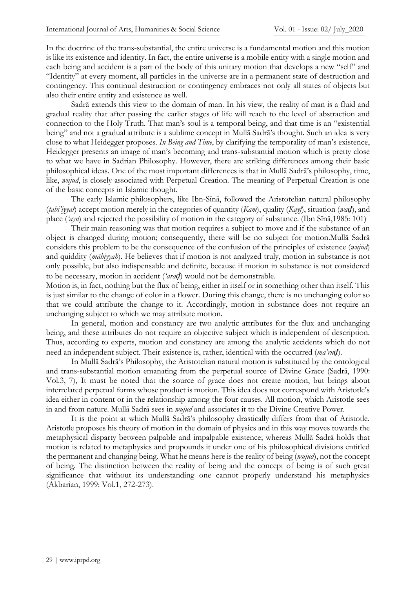In the doctrine of the trans-substantial, the entire universe is a fundamental motion and this motion is like its existence and identity. In fact, the entire universe is a mobile entity with a single motion and each being and accident is a part of the body of this unitary motion that develops a new "self" and "Identity" at every moment, all particles in the universe are in a permanent state of destruction and contingency. This continual destruction or contingency embraces not only all states of objects but also their entire entity and existence as well.

Sadrā extends this view to the domain of man. In his view, the reality of man is a fluid and gradual reality that after passing the earlier stages of life will reach to the level of abstraction and connection to the Holy Truth. That man's soul is a temporal being, and that time is an "existential being" and not a gradual attribute is a sublime concept in Mullā Sadrā's thought. Such an idea is very close to what Heidegger proposes. *In Being and Time*, by clarifying the temporality of man's existence, Heidegger presents an image of man's becoming and trans-substantial motion which is pretty close to what we have in Sadrian Philosophy. However, there are striking differences among their basic philosophical ideas. One of the most important differences is that in Mullā Sadrā's philosophy, time, like, *wujūd*, is closely associated with Perpetual Creation. The meaning of Perpetual Creation is one of the basic concepts in Islamic thought.

The early Islamic philosophers, like Ibn-Sīnā, followed the Aristotelian natural philosophy (*tabi'iyyat*) accept motion merely in the categories of quantity (*Kam*), quality (*Kayf*), situation (*waḍ*), and place ('ayn) and rejected the possibility of motion in the category of substance. (Ibn Sīnā,1985: 101)

Their main reasoning was that motion requires a subject to move and if the substance of an object is changed during motion; consequently, there will be no subject for motion.Mullā Sadrā considers this problem to be the consequence of the confusion of the principles of existence (*wujūd*) and quiddity (*māhiyyah*). He believes that if motion is not analyzed truly, motion in substance is not only possible, but also indispensable and definite, because if motion in substance is not considered to be necessary, motion in accident (*'araḍ*) would not be demonstrable.

Motion is, in fact, nothing but the flux of being, either in itself or in something other than itself. This is just similar to the change of color in a flower. During this change, there is no unchanging color so that we could attribute the change to it. Accordingly, motion in substance does not require an unchanging subject to which we may attribute motion.

In general, motion and constancy are two analytic attributes for the flux and unchanging being, and these attributes do not require an objective subject which is independent of description. Thus, according to experts, motion and constancy are among the analytic accidents which do not need an independent subject. Their existence is, rather, identical with the occurred (*ma'rūḍ*).

In Mullā Sadrā's Philosophy, the Aristotelian natural motion is substituted by the ontological and trans-substantial motion emanating from the perpetual source of Divine Grace (Sadrā, 1990: Vol.3, 7), It must be noted that the source of grace does not create motion, but brings about interrelated perpetual forms whose product is motion. This idea does not correspond with Aristotle's idea either in content or in the relationship among the four causes. All motion, which Aristotle sees in and from nature. Mullā Sadrā sees in *wujūd* and associates it to the Divine Creative Power.

It is the point at which Mullā Sadrā's philosophy drastically differs from that of Aristotle. Aristotle proposes his theory of motion in the domain of physics and in this way moves towards the metaphysical disparty between palpable and impalpable existence; whereas Mullā Sadrā holds that motion is related to metaphysics and propounds it under one of his philosophical divisions entitled the permanent and changing being. What he means here is the reality of being (*wujūd*), not the concept of being. The distinction between the reality of being and the concept of being is of such great significance that without its understanding one cannot properly understand his metaphysics (Akbarian, 1999: Vol.1, 272-273).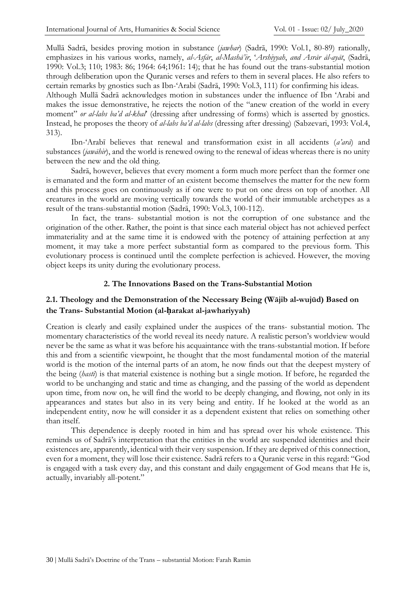Mullā Sadrā, besides proving motion in substance (*jawhar*) (Sadrā, 1990: Vol.1, 90-89) rationally, emphasizes in his various works, namely, *al-Asfār*, *al-Mashā'ir*, '*Arshiyyah*, *and Asrār āl-ayāt*, (Sadrā, 1990: Vol.3; 110; 1983: 86; 1964: 64;1991: 14); that he has found out the trans-substantial motion through deliberation upon the Quranic verses and refers to them in several places. He also refers to certain remarks by gnostics such as Ibn-'Arabi (Sadrā, 1990: Vol.3, 111) for confirming his ideas.

Although Mullā Sadrā acknowledges motion in substances under the influence of Ibn 'Arabi and makes the issue demonstrative, he rejects the notion of the "anew creation of the world in every moment" *or al-labs ba'd al-khal*' (dressing after undressing of forms) which is asserted by gnostics. Instead, he proposes the theory of *al-labs ba'd al-labs* (dressing after dressing) (Sabzevari, 1993: Vol.4, 313).

Ibn-'Arabī believes that renewal and transformation exist in all accidents (*a'arā*) and substances (*jawāhir*), and the world is renewed owing to the renewal of ideas whereas there is no unity between the new and the old thing.

Sadrā, however, believes that every moment a form much more perfect than the former one is emanated and the form and matter of an existent become themselves the matter for the new form and this process goes on continuously as if one were to put on one dress on top of another. All creatures in the world are moving vertically towards the world of their immutable archetypes as a result of the trans-substantial motion (Sadrā, 1990: Vol.3, 100-112).

In fact, the trans- substantial motion is not the corruption of one substance and the origination of the other. Rather, the point is that since each material object has not achieved perfect immateriality and at the same time it is endowed with the potency of attaining perfection at any moment, it may take a more perfect substantial form as compared to the previous form. This evolutionary process is continued until the complete perfection is achieved. However, the moving object keeps its unity during the evolutionary process.

#### **2. The Innovations Based on the Trans-Substantial Motion**

# **2.1. Theology and the Demonstration of the Necessary Being (Wājib al-wujūd) Based on the Trans- Substantial Motion (al-ḥarakat al-jawhariyyah)**

Creation is clearly and easily explained under the auspices of the trans- substantial motion. The momentary characteristics of the world reveal its needy nature. A realistic person's worldview would never be the same as what it was before his acquaintance with the trans-substantial motion. If before this and from a scientific viewpoint, he thought that the most fundamental motion of the material world is the motion of the internal parts of an atom, he now finds out that the deepest mystery of the being (*hastī*) is that material existence is nothing but a single motion. If before, he regarded the world to be unchanging and static and time as changing, and the passing of the world as dependent upon time, from now on, he will find the world to be deeply changing, and flowing, not only in its appearances and states but also in its very being and entity. If he looked at the world as an independent entity, now he will consider it as a dependent existent that relies on something other than itself.

This dependence is deeply rooted in him and has spread over his whole existence. This reminds us of Sadrā's interpretation that the entities in the world are suspended identities and their existences are, apparently, identical with their very suspension. If they are deprived of this connection, even for a moment, they will lose their existence. Sadrā refers to a Quranic verse in this regard: "God is engaged with a task every day, and this constant and daily engagement of God means that He is, actually, invariably all-potent."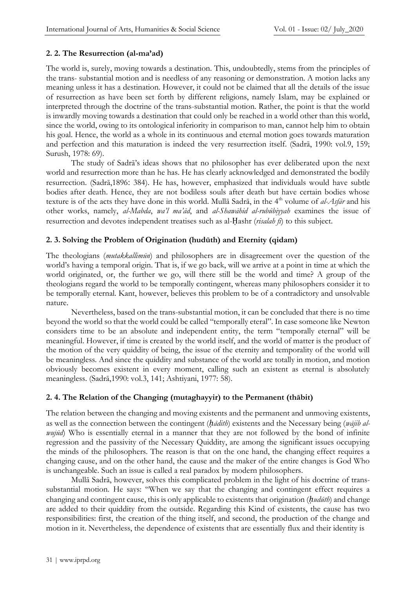### **2. 2. The Resurrection (al-ma'ad)**

The world is, surely, moving towards a destination. This, undoubtedly, stems from the principles of the trans- substantial motion and is needless of any reasoning or demonstration. A motion lacks any meaning unless it has a destination. However, it could not be claimed that all the details of the issue of resurrection as have been set forth by different religions, namely Islam, may be explained or interpreted through the doctrine of the trans-substantial motion. Rather, the point is that the world is inwardly moving towards a destination that could only be reached in a world other than this world, since the world, owing to its ontological inferiority in comparison to man, cannot help him to obtain his goal. Hence, the world as a whole in its continuous and eternal motion goes towards maturation and perfection and this maturation is indeed the very resurrection itself. (Sadrā, 1990: vol.9, 159; Surush, 1978: 69).

The study of Sadrā's ideas shows that no philosopher has ever deliberated upon the next world and resurrection more than he has. He has clearly acknowledged and demonstrated the bodily resurrection. (Sadrā,1999: 384). He has, however, emphasized that individuals would have subtle bodies after death. Hence, they are not bodiless souls after death but have certain bodies whose texture is of the acts they have done in this world. Mulla Sadra, in the 4<sup>th</sup> volume of *al-Asfar* and his other works, namely, *al-Mabda*, *wa'l ma'ād*, and *al-Shawāhid al-rubūbiyyah* examines the issue of resurrection and devotes independent treatises such as al-Ḥashr (*risalah fi*) to this subject.

### **2. 3. Solving the Problem of Origination (hudūth) and Eternity (qidam)**

The theologians (*mutakkallimūn*) and philosophers are in disagreement over the question of the world's having a temporal origin. That is, if we go back, will we arrive at a point in time at which the world originated, or, the further we go, will there still be the world and time? A group of the theologians regard the world to be temporally contingent, whereas many philosophers consider it to be temporally eternal. Kant, however, believes this problem to be of a contradictory and unsolvable nature.

Nevertheless, based on the trans-substantial motion, it can be concluded that there is no time beyond the world so that the world could be called "temporally eteral". In case someone like Newton considers time to be an absolute and independent entity, the term "temporally eternal" will be meaningful. However, if time is created by the world itself, and the world of matter is the product of the motion of the very quiddity of being, the issue of the eternity and temporality of the world will be meaningless. And since the quiddity and substance of the world are totally in motion, and motion obviously becomes existent in every moment, calling such an existent as eternal is absolutely meaningless. (Sadrā,1990: vol.3, 141; Ashtiyani, 1977: 58).

#### **2. 4. The Relation of the Changing (mutaghayyir) to the Permanent (thābit)**

The relation between the changing and moving existents and the permanent and unmoving existents, as well as the connection between the contingent (*ḥādith*) existents and the Necessary being (*wājib alwujūd*) Who is essentially eternal in a manner that they are not followed by the bond of infinite regression and the passivity of the Necessary Quiddity, are among the significant issues occupying the minds of the philosophers. The reason is that on the one hand, the changing effect requires a changing cause, and on the other hand, the cause and the maker of the entire changes is God Who is unchangeable. Such an issue is called a real paradox by modern philosophers.

Mullā Sadrā, however, solves this complicated problem in the light of his doctrine of transsubstantial motion. He says: "When we say that the changing and contingent effect requires a changing and contingent cause, this is only applicable to existents that origination (*ḥudūth*) and change are added to their quiddity from the outside. Regarding this Kind of existents, the cause has two responsibilities: first, the creation of the thing itself, and second, the production of the change and motion in it. Nevertheless, the dependence of existents that are essentially flux and their identity is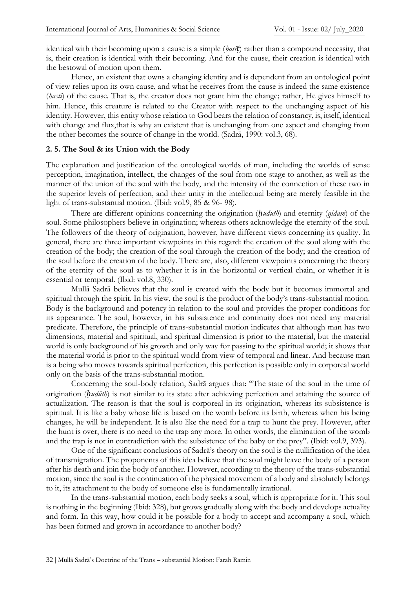identical with their becoming upon a cause is a simple (*basīṭ*) rather than a compound necessity, that is, their creation is identical with their becoming. And for the cause, their creation is identical with the bestowal of motion upon them.

Hence, an existent that owns a changing identity and is dependent from an ontological point of view relies upon its own cause, and what he receives from the cause is indeed the same existence (*hasti*) of the cause. That is, the creator does not grant him the change; rather, He gives himself to him. Hence, this creature is related to the Cteator with respect to the unchanging aspect of his identity. However, this entity whose relation to God bears the relation of constancy, is, itself, identical with change and flux,that is why an existent that is unchanging from one aspect and changing from the other becomes the source of change in the world. (Sadrā, 1990: vol.3, 68).

#### **2. 5. The Soul & its Union with the Body**

The explanation and justification of the ontological worlds of man, including the worlds of sense perception, imagination, intellect, the changes of the soul from one stage to another, as well as the manner of the union of the soul with the body, and the intensity of the connection of these two in the superior levels of perfection, and their unity in the intellectual being are merely feasible in the light of trans-substantial motion. (Ibid: vol.9, 85 & 96- 98).

There are different opinions concerning the origination (*ḥudūth*) and eternity (*qidam*) of the soul. Some philosophers believe in origination; whereas others acknowledge the eternity of the soul. The followers of the theory of origination, however, have different views concerning its quality. In general, there are three important viewpoints in this regard: the creation of the soul along with the creation of the body; the creation of the soul through the creation of the body; and the creation of the soul before the creation of the body. There are, also, different viewpoints concerning the theory of the eternity of the soul as to whether it is in the horizontal or vertical chain, or whether it is essential or temporal. (Ibid: vol.8, 330).

Mullā Sadrā believes that the soul is created with the body but it becomes immortal and spiritual through the spirit. In his view, the soul is the product of the body's trans-substantial motion. Body is the background and potency in relation to the soul and provides the proper conditions for its appearance. The soul, however, in his subsistence and continuity does not need any material predicate. Therefore, the principle of trans-substantial motion indicates that although man has two dimensions, material and spiritual, and spiritual dimension is prior to the material, but the material world is only background of his growth and only way for passing to the spiritual world; it shows that the material world is prior to the spiritual world from view of temporal and linear. And because man is a being who moves towards spiritual perfection, this perfection is possible only in corporeal world only on the basis of the trans-substantial motion.

Concerning the soul-body relation, Sadrā argues that: "The state of the soul in the time of origination (*ḥudūth*) is not similar to its state after achieving perfection and attaining the source of actualization. The reason is that the soul is corporeal in its origination, whereas its subsistence is spiritual. It is like a baby whose life is based on the womb before its birth, whereas when his being changes, he will be independent. It is also like the need for a trap to hunt the prey. However, after the hunt is over, there is no need to the trap any more. In other words, the elimination of the womb and the trap is not in contradiction with the subsistence of the baby or the prey". (Ibid: vol.9, 393).

One of the significant conclusions of Sadrā's theory on the soul is the nullification of the idea of transmigration. The proponents of this idea believe that the soul might leave the body of a person after his death and join the body of another. However, according to the theory of the trans-substantial motion, since the soul is the continuation of the physical movement of a body and absolutely belongs to it, its attachment to the body of someone else is fundamentally irrational.

In the trans-substantial motion, each body seeks a soul, which is appropriate for it. This soul is nothing in the beginning (Ibid: 328), but grows gradually along with the body and develops actuality and form. In this way, how could it be possible for a body to accept and accompany a soul, which has been formed and grown in accordance to another body?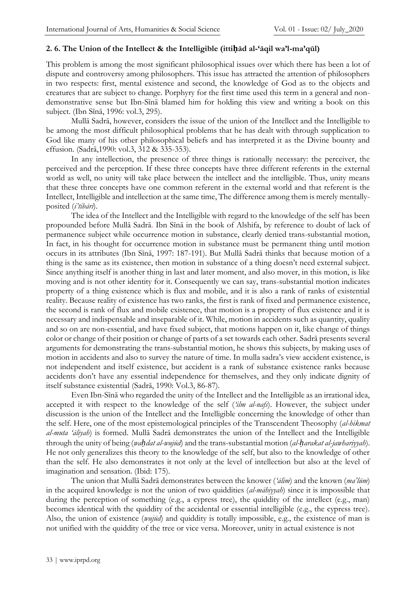### **2. 6. The Union of the Intellect & the Intelligible (ittiḥād al-'āqil wa'l-ma'qūl)**

This problem is among the most significant philosophical issues over which there has been a lot of dispute and controversy among philosophers. This issue has attracted the attention of philosophers in two respects: first, mental existence and second, the knowledge of God as to the objects and creatures that are subject to change. Porphyry for the first time used this term in a general and nondemonstrative sense but Ibn-Sīnā blamed him for holding this view and writing a book on this subject. (Ibn Sīnā, 1996: vol.3, 295).

Mullā Sadrā, however, considers the issue of the union of the Intellect and the Intelligible to be among the most difficult philosophical problems that he has dealt with through supplication to God like many of his other philosophical beliefs and has interpreted it as the Divine bounty and effusion. (Sadrā, 1990: vol.3, 312 & 335-353).

In any intellection, the presence of three things is rationally necessary: the perceiver, the perceived and the perception. If these three concepts have three different referents in the external world as well, no unity will take place between the intellect and the intelligible. Thus, unity means that these three concepts have one common referent in the external world and that referent is the Intellect, Intelligible and intellection at the same time, The difference among them is merely mentallyposited (*i'tibārī*).

The idea of the Intellect and the Intelligible with regard to the knowledge of the self has been propounded before Mullā Sadrā. Ibn Sīnā in the book of Alshifa, by reference to doubt of lack of permanence subject while occurrence motion in substance, clearly denied trans-substantial motion, In fact, in his thought for occurrence motion in substance must be permanent thing until motion occurs in its attributes (Ibn Sīnā, 1997: 187-191). But Mullā Sadrā thinks that because motion of a thing is the same as its existence, then motion in substance of a thing doesn't need external subject. Since anything itself is another thing in last and later moment, and also mover, in this motion, is like moving and is not other identity for it. Consequently we can say, trans-substantial motion indicates property of a thing existence which is flux and mobile, and it is also a rank of ranks of existential reality. Because reality of existence has two ranks, the first is rank of fixed and permanence existence, the second is rank of flux and mobile existence, that motion is a property of flux existence and it is necessary and indispensable and inseparable of it. While, motion in accidents such as quantity, quality and so on are non-essential, and have fixed subject, that motions happen on it, like change of things color or change of their position or change of parts of a set towards each other. Sadrā presents several arguments for demonstrating the trans-substantial motion, he shows this subjects, by making uses of motion in accidents and also to survey the nature of time. In mulla sadra's view accident existence, is not independent and itself existence, but accident is a rank of substance existence ranks because accidents don't have any essential independence for themselves, and they only indicate dignity of itself substance existential (Sadrā, 1990: Vol.3, 86-87).

Even Ibn-Sīnā who regarded the unity of the Intellect and the Intelligible as an irrational idea, accepted it with respect to the knowledge of the self (*'ilm al-nafs*). However, the subject under discussion is the union of the Intellect and the Intelligible concerning the knowledge of other than the self. Here, one of the most epistemological principles of the Transcendent Theosophy (*al-hikmat al-muta 'āliyah*) is formed. Mullā Sadrā demonstrates the union of the Intellect and the Intelligible through the unity of being (*waḥdat al-wujūd*) and the trans-substantial motion (*al-ḥarakat al-jawhariyyah*). He not only generalizes this theory to the knowledge of the self, but also to the knowledge of other than the self. He also demonstrates it not only at the level of intellection but also at the level of imagination and sensation. (Ibid: 175).

The union that Mullā Sadrā demonstrates between the knower (*'ālim*) and the known (*ma'lūm*) in the acquired knowledge is not the union of two quiddities (*al-māhiyyah*) since it is impossible that during the perception of something (e.g., a cypress tree), the quiddity of the intellect (e.g., man) becomes identical with the quiddity of the accidental or essential intelligible (e.g., the cypress tree). Also, the union of existence (*wujūd*) and quiddity is totally impossible, e.g., the existence of man is not unified with the quiddity of the tree or vice versa. Moreover, unity in actual existence is not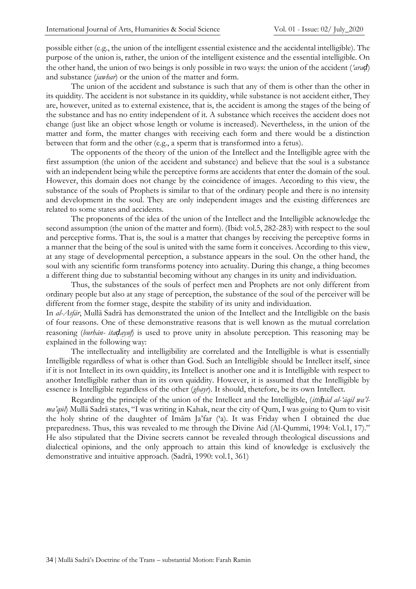possible either (e.g., the union of the intelligent essential existence and the accidental intelligible). The purpose of the union is, rather, the union of the intelligent existence and the essential intelligible. On the other hand, the union of two beings is only possible in two ways: the union of the accident (*'araḍ*) and substance (*jawhar*) or the union of the matter and form.

The union of the accident and substance is such that any of them is other than the other in its quiddity. The accident is not substance in its quiddity, while substance is not accident either, They are, however, united as to external existence, that is, the accident is among the stages of the being of the substance and has no entity independent of it. A substance which receives the accident does not change (just like an object whose length or volume is increased). Nevertheless, in the union of the matter and form, the matter changes with receiving each form and there would be a distinction between that form and the other (e.g., a sperm that is transformed into a fetus).

The opponents of the theory of the union of the Intellect and the Intelligible agree with the first assumption (the union of the accident and substance) and believe that the soul is a substance with an independent being while the perceptive forms are accidents that enter the domain of the soul. However, this domain does not change by the coincidence of images. According to this view, the substance of the souls of Prophets is similar to that of the ordinary people and there is no intensity and development in the soul. They are only independent images and the existing differences are related to some states and accidents.

The proponents of the idea of the union of the Intellect and the Intelligible acknowledge the second assumption (the union of the matter and form). (Ibid: vol.5, 282-283) with respect to the soul and perceptive forms. That is, the soul is a matter that changes by receiving the perceptive forms in a manner that the being of the soul is united with the same form it conceives. According to this view, at any stage of developmental perception, a substance appears in the soul. On the other hand, the soul with any scientific form transforms potency into actuality. During this change, a thing becomes a different thing due to substantial becoming without any changes in its unity and individuation.

Thus, the substances of the souls of perfect men and Prophets are not only different from ordinary people but also at any stage of perception, the substance of the soul of the perceiver will be different from the former stage, despite the stability of its unity and individuation.

In *al-Asfār*, Mullā Sadrā has demonstrated the union of the Intellect and the Intelligible on the basis of four reasons. One of these demonstrative reasons that is well known as the mutual correlation reasoning (*burhān- itaḍayuf*) is used to prove unity in absolute perception. This reasoning may be explained in the following way:

The intellectuality and intelligibility are correlated and the Intelligible is what is essentially Intelligible regardless of what is other than God. Such an Intelligible should be Intellect itself, since if it is not Intellect in its own quiddity, its Intellect is another one and it is Intelligible with respect to another Intelligible rather than in its own quiddity. However, it is assumed that the Intelligible by essence is Intelligible regardless of the other (*ghayr*). It should, thetefore, be its own Intellect.

Regarding the principle of the union of the Intellect and the Intelligible, (*ittiḥād al-'āqil wa'lma'qūl*) Mullā Sadrā states, "I was writing in Kahak, near the city of Qum, I was going to Qum to visit the holy shrine of the daughter of Imām Ja'far ('a). It was Friday when I obtained the due preparedness. Thus, this was revealed to me through the Divine Aid (Al-Qummi, 1994: Vol.1, 17)." He also stipulated that the Divine secrets cannot be revealed through theological discussions and dialectical opinions, and the only approach to attain this kind of knowledge is exclusively the demonstrative and intuitive approach. (Sadrā, 1990: vol.1, 391)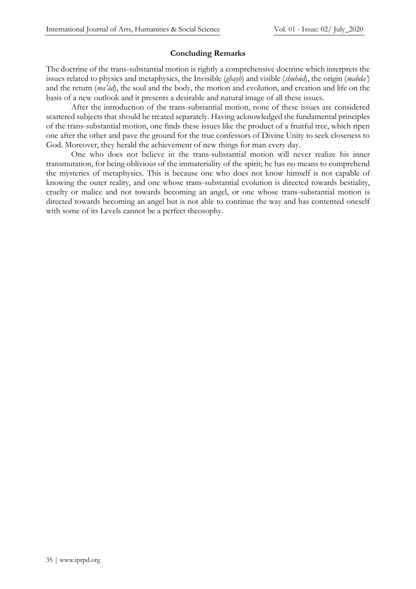#### **Concluding Remarks**

The doctrine of the trans-substantial motion is rightly a comprehensive doctrine which interprets the issues related to physics and metaphysics, the Invisible (*ghayb*) and visible (*shuhūd*), the origin (*mabda'*) and the return (*ma'ād*), the soul and the body, the motion and evolution, and creation and life on the basis of a new outlook and it presents a desirable and natural image of all these issues.

After the introduction of the trans-substantial motion, none of these issues are considered scattered subjects that should be treated separately. Having acknowledged the fundamental principles of the trans-substantial motion, one finds these issues like the product of a fruitful tree, which ripen one after the other and pave the ground for the true confessors of Divine Unity to seek closeness to God. Moreover, they herald the achievement of new things for man every day.

One who does not believe in the trans-substantial motion will never realize his inner transmutation, for being oblivious of the immateriality of the spirit; he has no means to comprehend the mysteries of metaphysics. This is because one who does not know himself is not capable of knowing the outer reality, and one whose trans-substantial evolution is directed towards bestiality, cruelty or malice and not towards becoming an angel, or one whose trans-substantial motion is directed towards becoming an angel but is not able to continue the way and has contented oneself with some of its Levels cannot be a perfect theosophy.